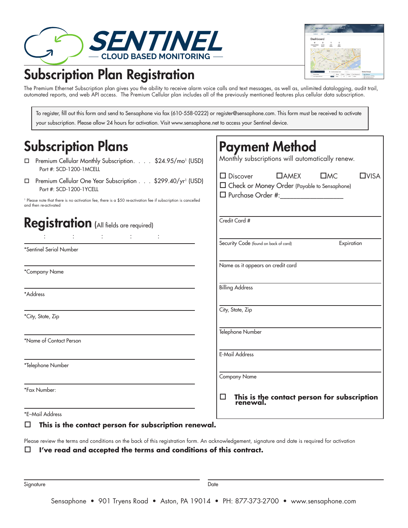

## Subscription Plan Registration



The Premium Ethernet Subscription plan gives you the ability to receive alarm voice calls and text messages, as well as, unlimited datalogging, audit trail, automated reports, and web API access. The Premium Cellular plan includes all of the previously mentioned features plus cellular data subscription.

To register, fill out this form and send to Sensaphone via fax (610-558-0222) or register@sensaphone.com. This form must be received to activate your subscription. Please allow 24 hours for activation. Visit www.sensaphone.net to access your Sentinel device.

| <b>Subscription Plans</b>                                                                                                                                                                                                                                                                                                                                                                                                                                                                                                      | <b>Payment Method</b>                                                                                                                                            |
|--------------------------------------------------------------------------------------------------------------------------------------------------------------------------------------------------------------------------------------------------------------------------------------------------------------------------------------------------------------------------------------------------------------------------------------------------------------------------------------------------------------------------------|------------------------------------------------------------------------------------------------------------------------------------------------------------------|
| Premium Cellular Monthly Subscription. \$24.95/mo <sup>1</sup> (USD)<br>Part #: SCD-1200-1MCELL                                                                                                                                                                                                                                                                                                                                                                                                                                | Monthly subscriptions will automatically renew.                                                                                                                  |
| □ Premium Cellular One Year Subscription \$299.40/yr <sup>1</sup> (USD)<br>Part #: SCD-1200-1YCELL<br><sup>1</sup> Please note that there is no activation fee, there is a \$50 re-activation fee if subscription is cancelled                                                                                                                                                                                                                                                                                                 | $\Box$ Discover<br>$\Box$ AMEX<br>$\square$ MC<br>$\square$ VISA<br>□ Check or Money Order (Payable to Sensaphone)<br>$\Box$ Purchase Order #: _________________ |
| and then re-activated<br>Registration (All fields are required)<br>$\mathcal{L}(\mathcal{L}(\mathcal{L}(\mathcal{L}(\mathcal{L}(\mathcal{L}(\mathcal{L}(\mathcal{L}(\mathcal{L}(\mathcal{L}(\mathcal{L}(\mathcal{L}(\mathcal{L}(\mathcal{L}(\mathcal{L}(\mathcal{L}(\mathcal{L}(\mathcal{L}(\mathcal{L}(\mathcal{L}(\mathcal{L}(\mathcal{L}(\mathcal{L}(\mathcal{L}(\mathcal{L}(\mathcal{L}(\mathcal{L}(\mathcal{L}(\mathcal{L}(\mathcal{L}(\mathcal{L}(\mathcal{L}(\mathcal{L}(\mathcal{L}(\mathcal{L}(\mathcal{L}(\mathcal{$ | Credit Card #                                                                                                                                                    |
| *Sentinel Serial Number                                                                                                                                                                                                                                                                                                                                                                                                                                                                                                        | Security Code (found on back of card)<br>Expiration                                                                                                              |
| *Company Name                                                                                                                                                                                                                                                                                                                                                                                                                                                                                                                  | Name as it appears on credit card                                                                                                                                |
| *Address                                                                                                                                                                                                                                                                                                                                                                                                                                                                                                                       | <b>Billing Address</b>                                                                                                                                           |
| *City, State, Zip                                                                                                                                                                                                                                                                                                                                                                                                                                                                                                              | City, State, Zip                                                                                                                                                 |
| *Name of Contact Person                                                                                                                                                                                                                                                                                                                                                                                                                                                                                                        | Telephone Number                                                                                                                                                 |
| *Telephone Number                                                                                                                                                                                                                                                                                                                                                                                                                                                                                                              | <b>E-Mail Address</b>                                                                                                                                            |
|                                                                                                                                                                                                                                                                                                                                                                                                                                                                                                                                | <b>Company Name</b>                                                                                                                                              |
| *Fax Number:                                                                                                                                                                                                                                                                                                                                                                                                                                                                                                                   | This is the contact person for subscription<br>renewal.<br>ப                                                                                                     |
| *E-Mail Address                                                                                                                                                                                                                                                                                                                                                                                                                                                                                                                |                                                                                                                                                                  |

## **This is the contact person for subscription renewal.**

Please review the terms and conditions on the back of this registration form. An acknowledgement, signature and date is required for activation **I've read and accepted the terms and conditions of this contract.**